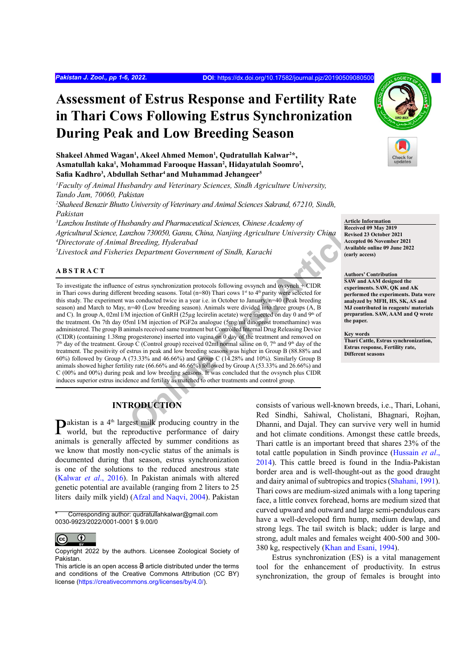# **Assessment of Estrus Response and Fertility Rate in Thari Cows Following Estrus Synchronization During Peak and Low Breeding Season**

Shakeel Ahmed Wagan<sup>1</sup>, Akeel Ahmed Memon<sup>1</sup>, Qudratullah Kalwar<sup>2\*</sup>, **Asmatullah kaka1 , Mohammad Farooque Hassan2 , Hidayatulah Soomro2 , Safia Kadhro<sup>3</sup> , Abdullah Sethar4 and Muhammad Jehangeer5**

*1 Faculty of Animal Husbandry and Veterinary Sciences, Sindh Agriculture University, Tando Jam, 70060, Pakistan*

*2 Shaheed Benazir Bhutto University of Veterinary and Animal Sciences Sakrand, 67210, Sindh, Pakistan*

*3 Lanzhou Institute of Husbandry and Pharmaceutical Sciences, Chinese Academy of Agricultural Science, Lanzhou 730050, Gansu, China, Nanjing Agriculture University China 4 Directorate of Animal Breeding, Hyderabad*

*5 Livestock and Fisheries Department Government of Sindh, Karachi*

### **ABSTRACT**

From The Theorem (First Article and The Theorem in Collective Theorem and The Theorem and The Theorem (Article Breeding, Hyderabad essenting Agriculture University China Recept<br>
Surface are Bepartment Government of Sindh, To investigate the influence of estrus synchronization protocols following ovsynch and ovsynch + CIDR in Thari cows during different breeding seasons. Total ( $n=80$ ) Thari cows 1<sup>st</sup> to 4<sup>th</sup> parity were selected for this study. The experiment was conducted twice in a year i.e. in October to January, n=40 (Peak breeding season) and March to May, n=40 (Low breeding season). Animals were divided into three groups (A, B and C). In group A, 02ml I/M injection of GnRH (25µg lecirelin acetate) were injected on day 0 and 9<sup>th</sup> of the treatment. On 7th day 05ml I/M injection of PGF2α analogue (5mg/ml dinoprost tromethamine) was administered. The group B animals received same treatment but Controlled Internal Drug Releasing Device (CIDR) (containing 1.38mg progesterone) inserted into vagina on 0 day of the treatment and removed on  $7<sup>th</sup>$  day of the treatment. Group C (Control group) received 02ml normal saline on 0,  $7<sup>th</sup>$  and 9<sup>th</sup> day of the treatment. The positivity of estrus in peak and low breeding seasons was higher in Group B (88.88% and 60%) followed by Group A (73.33% and 46.66%) and Group C (14.28% and 10%). Similarly Group B animals showed higher fertility rate (66.66% and 46.66%) followed by Group A (53.33% and 26.66%) and C (00% and 00%) during peak and low breeding seasons. It was concluded that the ovsynch plus CIDR induces superior estrus incidence and fertility as matched to other treatments and control group.

# **INTRODUCTION**

**P**akistan is a  $4<sup>th</sup>$  largest milk producing country in the world, but the reproductive performance of dairy animals is generally affected by summer conditions as we know that mostly non-cyclic status of the animals is documented during that season, estrus synchronization is one of the solutions to the reduced anestrous state [\(Kalwar](#page-5-0) *et al*., 2016). In Pakistan animals with altered genetic potential are available (ranging from 2 liters to 25 liters daily milk yield) [\(Afzal and Naqvi, 2004\)](#page-4-0). Pakistan

Corresponding author: qudratullahkalwar@gmail.com 0030-9923/2022/0001-0001 \$ 9.00/0



**Article Information Received 09 May 2019 Revised 23 October 2021 Accepted 06 November 2021 Available online 09 June 2022 (early access)**

**Authors' Contribution SAW and AAM designed the experiments. SAW, QK and AK performed the experiments. Data were analyzed by MFH, HS, SK, AS and MJ contributed in reagents/ materials preparation. SAW, AAM and Q wrote the paper.**

**Key words Thari Cattle, Estrus synchronization, Estrus response, Fertility rate, Different seasons**

consists of various well-known breeds, i.e., Thari, Lohani, Red Sindhi, Sahiwal, Cholistani, Bhagnari, Rojhan, Dhanni, and Dajal. They can survive very well in humid and hot climate conditions. Amongst these cattle breeds, Thari cattle is an important breed that shares 23% of the total cattle population in Sindh province [\(Hussain](#page-5-1) *et al*., [2014\)](#page-5-1). This cattle breed is found in the India-Pakistan border area and is well-thought-out as the good draught and dairy animal of subtropics and tropics ([Shahani, 1991\)](#page-5-2). Thari cows are medium-sized animals with a long tapering face, a little convex forehead, horns are medium sized that curved upward and outward and large semi-pendulous ears have a well-developed firm hump, medium dewlap, and strong legs. The tail switch is black; udder is large and strong, adult males and females weight 400-500 and 300- 380 kg, respectively ([Khan and Esani, 1994\)](#page-5-3).

Estrus synchronization (ES) is a vital management tool for the enhancement of productivity. In estrus synchronization, the group of females is brought into

 $\odot$  $\overline{cc}$ 

Copyright 2022 by the authors. Licensee Zoological Society of Pakistan.

This article is an open access  $\Theta$  article distributed under the terms and conditions of the Creative Commons Attribution (CC BY) license (https://creativecommons.org/licenses/by/4.0/).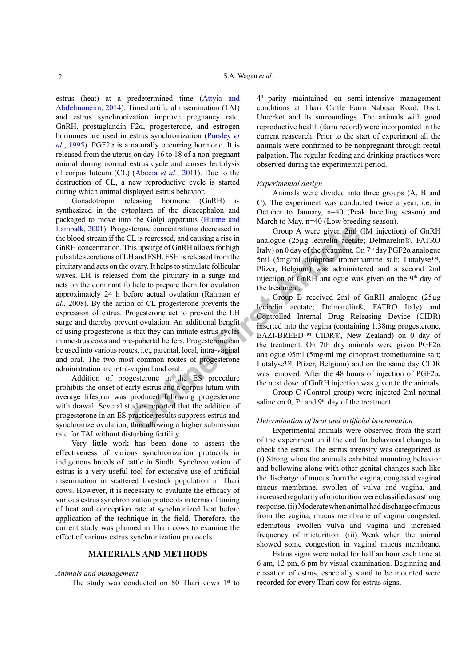estrus (heat) at a predetermined time ([Attyia and](#page-4-1) [Abdelmoneim, 2014](#page-4-1)). Timed artificial insemination (TAI) and estrus synchronization improve pregnancy rate. GnRH, prostaglandin F2α, progesterone, and estrogen hormones are used in estrus synchronization [\(Pursley](#page-5-4) *et al.*, 1995). PGF2 $\alpha$  is a naturally occurring hormone. It is released from the uterus on day 16 to 18 of a non-pregnant animal during normal estrus cycle and causes leutolysis of corpus luteum (CL) (Abecia *et al*., 2011). Due to the destruction of CL, a new reproductive cycle is started during which animal displayed estrus behavior.

sterone concentrations decreased in Group A were given 2ml (<br>
D. Lis regressed, and causing a rise in analogue (25 µg lecirelin acetate<br>
In analogue (25 µg lecirelin acetate<br>
H and FSH. FSH is released from the 5ml (5mg/ml Gonadotropin releasing hormone (GnRH) is synthesized in the cytoplasm of the diencephalon and packaged to move into the Golgi apparatus [\(Huirne and](#page-4-2) [Lambalk, 2001\)](#page-4-2). Progesterone concentrations decreased in the blood stream if the CL is regressed, and causing a rise in GnRH concentration. This upsurge of GnRH allows for high pulsatile secretions of LH and FSH. FSH is released from the pituitary and acts on the ovary. It helps to stimulate follicular waves. LH is released from the pituitary in a surge and acts on the dominant follicle to prepare them for ovulation approximately 24 h before actual ovulation (Rahman *et al.,* [2008](#page-5-5)). By the action of CL progesterone prevents the expression of estrus. Progesterone act to prevent the LH surge and thereby prevent ovulation. An additional benefit of using progesterone is that they can initiate estrus cycles in anestrus cows and pre-pubertal heifers. Progesterone can be used into various routes, i.e., parental, local, intra-vaginal and oral. The two most common routes of progesterone administration are intra-vaginal and oral.

Addition of progesterone in the ES procedure prohibits the onset of early estrus and a corpus lutum with average lifespan was produced following progesterone with drawal. Several studies reported that the addition of progesterone in an ES practice results suppress estrus and synchronize ovulation, thus allowing a higher submission rate for TAI without disturbing fertility.

Very little work has been done to assess the effectiveness of various synchronization protocols in indigenous breeds of cattle in Sindh. Synchronization of estrus is a very useful tool for extensive use of artificial insemination in scattered livestock population in Thari cows. However, it is necessary to evaluate the efficacy of various estrus synchronization protocols in terms of timing of heat and conception rate at synchronized heat before application of the technique in the field. Therefore, the current study was planned in Thari cows to examine the effect of various estrus synchronization protocols.

## **MATERIALS AND METHODS**

#### *Animals and management*

The study was conducted on 80 Thari cows  $1<sup>st</sup>$  to

4<sup>th</sup> parity maintained on semi-intensive management conditions at Thari Cattle Farm Nabisar Road, Distt: Umerkot and its surroundings. The animals with good reproductive health (farm record) were incorporated in the current reasearch. Prior to the start of experiment all the animals were confirmed to be nonpregnant through rectal palpation. The regular feeding and drinking practices were observed during the experimental period.

#### *Experimental design*

Animals were divided into three groups (A, B and C). The experiment was conducted twice a year, i.e. in October to January, n=40 (Peak breeding season) and March to May, n=40 (Low breeding season).

Group A were given 2ml (IM injection) of GnRH analogue (25µg lecirelin acetate; Delmarelin®, FATRO Italy) on 0 day of the treatment. On 7<sup>th</sup> day PGF2α analogue 5ml (5mg/ml dinoprost tromethamine salt; Lutalyse™, Pfizer, Belgium) was administered and a second 2ml injection of GnRH analogue was given on the  $9<sup>th</sup>$  day of the treatment.

Group B received 2ml of GnRH analogue (25µg lecirelin acetate; Delmarelin®, FATRO Italy) and Controlled Internal Drug Releasing Device (CIDR) inserted into the vagina (containing 1.38mg progesterone, EAZI-BREED™ CIDR®, New Zealand) on 0 day of the treatment. On 7th day animals were given  $PGF2\alpha$ analogue 05ml (5mg/ml mg dinoprost tromethamine salt; Lutalyse™, Pfizer, Belgium) and on the same day CIDR was removed. After the 48 hours of injection of PGF2α, the next dose of GnRH injection was given to the animals.

Group C (Control group) were injected 2ml normal saline on  $0$ ,  $7<sup>th</sup>$  and  $9<sup>th</sup>$  day of the treatment.

#### *Determination of heat and artificial insemination*

Experimental animals were observed from the start of the experiment until the end for behavioral changes to check the estrus. The estrus intensity was categorized as (i) Strong when the animals exhibited mounting behavior and bellowing along with other genital changes such like the discharge of mucus from the vagina, congested vaginal mucus membrane, swollen of vulva and vagina, and increased regularity of micturition were classified as a strong response. (ii) Moderate when animal had discharge of mucus from the vagina, mucus membrane of vagina congested, edematous swollen vulva and vagina and increased frequency of micturition. (iii) Weak when the animal showed some congestion in vaginal mucus membrane.

Estrus signs were noted for half an hour each time at 6 am, 12 pm, 6 pm by visual examination. Beginning and cessation of estrus, especially stand to be mounted were recorded for every Thari cow for estrus signs.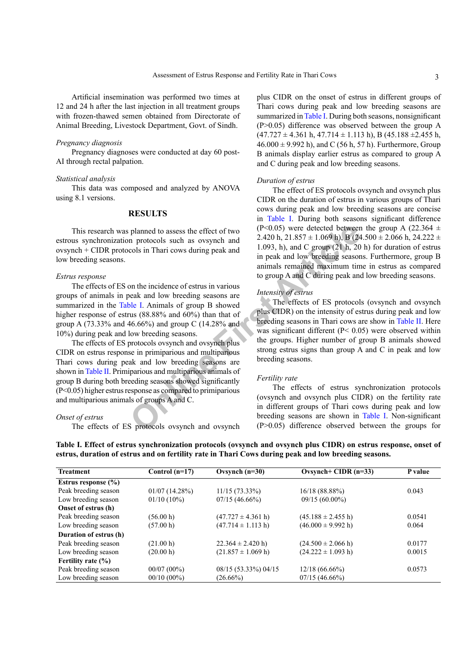Artificial insemination was performed two times at 12 and 24 h after the last injection in all treatment groups with frozen-thawed semen obtained from Directorate of Animal Breeding, Livestock Department, Govt. of Sindh.

#### *Pregnancy diagnosis*

Pregnancy diagnoses were conducted at day 60 post-AI through rectal palpation.

#### *Statistical analysis*

This data was composed and analyzed by ANOVA using 8.1 versions.

# **RESULTS**

This research was planned to assess the effect of two estrous synchronization protocols such as ovsynch and ovsynch + CIDR protocols in Thari cows during peak and low breeding seasons.

### *Estrus response*

The effects of ES on the incidence of estrus in various groups of animals in peak and low breeding seasons are summarized in the [Table I.](#page-2-0) Animals of group B showed higher response of estrus (88.88% and 60%) than that of group A (73.33% and 46.66%) and group C (14.28% and 10%) during peak and low breeding seasons.

planned to assess the effect of two<br>
n protocols such as ovsynch and<br>  $2.420$  h,  $21.857 \pm 1.069$  h), B (24<br>
cols in Thari cows during peak and<br>
in peak and C group A and C group (21 h, 20<br>
in peak and low breeding season The effects of ES protocols ovsynch and ovsynch plus CIDR on estrus response in primiparious and multiparious Thari cows during peak and low breeding seasons are shown in [Table II.](#page-3-0) Primiparious and multiparious animals of group B during both breeding seasons showed significantly (P<0.05) higher estrus response as compared to primiparious and multiparious animals of groups A and C.

## *Onset of estrus*

The effects of ES protocols ovsynch and ovsynch

plus CIDR on the onset of estrus in different groups of Thari cows during peak and low breeding seasons are summarized in [Table I.](#page-2-0) During both seasons, nonsignificant (P>0.05) difference was observed between the group A  $(47.727 \pm 4.361 \text{ h}, 47.714 \pm 1.113 \text{ h}), B (45.188 \pm 2.455 \text{ h},$  $46.000 \pm 9.992$  h), and C (56 h, 57 h). Furthermore, Group B animals display earlier estrus as compared to group A and C during peak and low breeding seasons.

#### *Duration of estrus*

The effect of ES protocols ovsynch and ovsynch plus CIDR on the duration of estrus in various groups of Thari cows during peak and low breeding seasons are concise in [Table I.](#page-2-0) During both seasons significant difference (P<0.05) were detected between the group A (22.364  $\pm$ 2.420 h,  $21.857 \pm 1.069$  h), B (24.500  $\pm$  2.066 h, 24.222  $\pm$ 1.093, h), and C group  $(21 \text{ h}, 20 \text{ h})$  for duration of estrus in peak and low breeding seasons. Furthermore, group B animals remained maximum time in estrus as compared to group A and C during peak and low breeding seasons.

## *Intensity of estrus*

The effects of ES protocols (ovsynch and ovsynch plus CIDR) on the intensity of estrus during peak and low breeding seasons in Thari cows are show in [Table II.](#page-3-0) Here was significant different ( $P < 0.05$ ) were observed within the groups. Higher number of group B animals showed strong estrus signs than group A and C in peak and low breeding seasons.

## *Fertility rate*

The effects of estrus synchronization protocols (ovsynch and ovsynch plus CIDR) on the fertility rate in different groups of Thari cows during peak and low breeding seasons are shown in [Table I](#page-2-0). Non-significant  $(P>0.05)$  difference observed between the groups for

| <b>Treatment</b>        | Control $(n=17)$ | Ovsynch $(n=30)$               | Ovsynch+ CIDR $(n=33)$         | P value |  |
|-------------------------|------------------|--------------------------------|--------------------------------|---------|--|
| Estrus response $(\% )$ |                  |                                |                                |         |  |
| Peak breeding season    | 01/07(14.28%)    | $11/15(73.33\%)$               | 16/18(88.88%)                  | 0.043   |  |
| Low breeding season     | $01/10(10\%)$    | 07/15(46.66%)                  | $09/15(60.00\%)$               |         |  |
| Onset of estrus (h)     |                  |                                |                                |         |  |
| Peak breeding season    | (56.00 h)        | $(47.727 \pm 4.361 \text{ h})$ | $(45.188 \pm 2.455 \text{ h})$ | 0.0541  |  |
| Low breeding season     | (57.00 h)        | $(47.714 \pm 1.113 \text{ h})$ | $(46.000 \pm 9.992 h)$         | 0.064   |  |
| Duration of estrus (h)  |                  |                                |                                |         |  |
| Peak breeding season    | (21.00 h)        | $22.364 \pm 2.420$ h)          | $(24.500 \pm 2.066 \text{ h})$ | 0.0177  |  |
| Low breeding season     | (20.00 h)        | $(21.857 \pm 1.069 h)$         | $(24.222 \pm 1.093 h)$         | 0.0015  |  |
| Fertility rate $(\% )$  |                  |                                |                                |         |  |
| Peak breeding season    | $00/07(00\%)$    | 08/15 (53.33%) 04/15           | $12/18(66.66\%)$               | 0.0573  |  |
| Low breeding season     | $00/10(00\%)$    | $(26.66\%)$                    | 07/15(46.66%)                  |         |  |

# <span id="page-2-0"></span>**Table I. Effect of estrus synchronization protocols (ovsynch and ovsynch plus CIDR) on estrus response, onset of estrus, duration of estrus and on fertility rate in Thari Cows during peak and low breeding seasons.**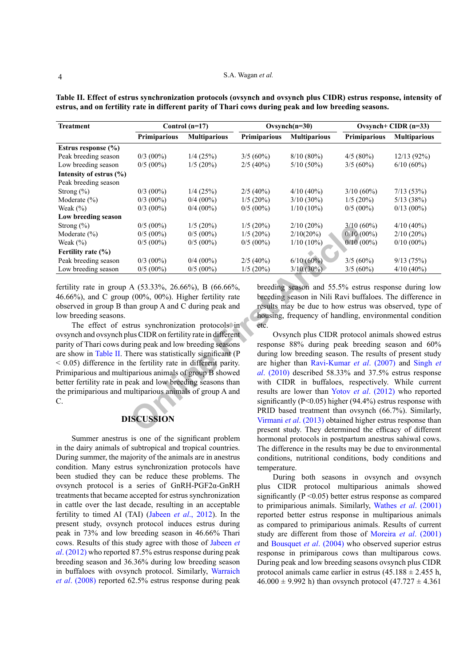| <b>Treatment</b>                                                                                                                                                                                                                                                                                                                                                                                                                                                                                                                                                                                                                                                                                                                                                                                                                                                                                                                                                                                                                                                                                                                                                                                                                                                                                                                                                                       | Control $(n=17)$  |                     |              | Ovsynch $(n=30)$                                                                                                                                                                                                                                       |              | Ovsynch+ CIDR $(n=33)$ |  |
|----------------------------------------------------------------------------------------------------------------------------------------------------------------------------------------------------------------------------------------------------------------------------------------------------------------------------------------------------------------------------------------------------------------------------------------------------------------------------------------------------------------------------------------------------------------------------------------------------------------------------------------------------------------------------------------------------------------------------------------------------------------------------------------------------------------------------------------------------------------------------------------------------------------------------------------------------------------------------------------------------------------------------------------------------------------------------------------------------------------------------------------------------------------------------------------------------------------------------------------------------------------------------------------------------------------------------------------------------------------------------------------|-------------------|---------------------|--------------|--------------------------------------------------------------------------------------------------------------------------------------------------------------------------------------------------------------------------------------------------------|--------------|------------------------|--|
|                                                                                                                                                                                                                                                                                                                                                                                                                                                                                                                                                                                                                                                                                                                                                                                                                                                                                                                                                                                                                                                                                                                                                                                                                                                                                                                                                                                        | Primiparious      | <b>Multiparious</b> | Primiparious | <b>Multiparious</b>                                                                                                                                                                                                                                    | Primiparious | <b>Multiparious</b>    |  |
| Estrus response (%)                                                                                                                                                                                                                                                                                                                                                                                                                                                                                                                                                                                                                                                                                                                                                                                                                                                                                                                                                                                                                                                                                                                                                                                                                                                                                                                                                                    |                   |                     |              |                                                                                                                                                                                                                                                        |              |                        |  |
| Peak breeding season                                                                                                                                                                                                                                                                                                                                                                                                                                                                                                                                                                                                                                                                                                                                                                                                                                                                                                                                                                                                                                                                                                                                                                                                                                                                                                                                                                   | $0/3$ (00%)       | $1/4$ (25%)         | $3/5(60\%)$  | 8/10(80%)                                                                                                                                                                                                                                              | $4/5(80\%)$  | 12/13(92%)             |  |
| Low breeding season                                                                                                                                                                                                                                                                                                                                                                                                                                                                                                                                                                                                                                                                                                                                                                                                                                                                                                                                                                                                                                                                                                                                                                                                                                                                                                                                                                    | $0/5(00\%)$       | $1/5(20\%)$         | $2/5(40\%)$  | $5/10(50\%)$                                                                                                                                                                                                                                           | $3/5(60\%)$  | 6/10(60%)              |  |
| Intensity of estrus (%)                                                                                                                                                                                                                                                                                                                                                                                                                                                                                                                                                                                                                                                                                                                                                                                                                                                                                                                                                                                                                                                                                                                                                                                                                                                                                                                                                                |                   |                     |              |                                                                                                                                                                                                                                                        |              |                        |  |
| Peak breeding season                                                                                                                                                                                                                                                                                                                                                                                                                                                                                                                                                                                                                                                                                                                                                                                                                                                                                                                                                                                                                                                                                                                                                                                                                                                                                                                                                                   |                   |                     |              |                                                                                                                                                                                                                                                        |              |                        |  |
| Strong $(\% )$                                                                                                                                                                                                                                                                                                                                                                                                                                                                                                                                                                                                                                                                                                                                                                                                                                                                                                                                                                                                                                                                                                                                                                                                                                                                                                                                                                         | $0/3$ (00%)       | 1/4(25%)            | $2/5(40\%)$  | $4/10(40\%)$                                                                                                                                                                                                                                           | $3/10(60\%)$ | 7/13(53%)              |  |
| Moderate $(\% )$                                                                                                                                                                                                                                                                                                                                                                                                                                                                                                                                                                                                                                                                                                                                                                                                                                                                                                                                                                                                                                                                                                                                                                                                                                                                                                                                                                       | $0/3$ (00%)       | $0/4$ (00%)         | $1/5(20\%)$  | $3/10(30\%)$                                                                                                                                                                                                                                           | $1/5(20\%)$  | 5/13(38%)              |  |
| Weak $(\%)$                                                                                                                                                                                                                                                                                                                                                                                                                                                                                                                                                                                                                                                                                                                                                                                                                                                                                                                                                                                                                                                                                                                                                                                                                                                                                                                                                                            | $0/3$ (00%)       | $0/4$ (00%)         | $0/5(00\%)$  | $1/10(10\%)$                                                                                                                                                                                                                                           | $0/5(00\%)$  | $0/13(00\%)$           |  |
| Low breeding season                                                                                                                                                                                                                                                                                                                                                                                                                                                                                                                                                                                                                                                                                                                                                                                                                                                                                                                                                                                                                                                                                                                                                                                                                                                                                                                                                                    |                   |                     |              |                                                                                                                                                                                                                                                        |              |                        |  |
| Strong $(\% )$                                                                                                                                                                                                                                                                                                                                                                                                                                                                                                                                                                                                                                                                                                                                                                                                                                                                                                                                                                                                                                                                                                                                                                                                                                                                                                                                                                         | $0/5(00\%)$       | $1/5(20\%)$         | 1/5(20%)     | $2/10(20\%)$                                                                                                                                                                                                                                           | $3/10(60\%)$ | $4/10(40\%)$           |  |
| Moderate $(\% )$                                                                                                                                                                                                                                                                                                                                                                                                                                                                                                                                                                                                                                                                                                                                                                                                                                                                                                                                                                                                                                                                                                                                                                                                                                                                                                                                                                       | $0/5(00\%)$       | $0/5(00\%)$         | 1/5(20%)     | $2/10(20\%)$                                                                                                                                                                                                                                           | $0/10(00\%)$ | $2/10(20\%)$           |  |
| Weak $(\%)$                                                                                                                                                                                                                                                                                                                                                                                                                                                                                                                                                                                                                                                                                                                                                                                                                                                                                                                                                                                                                                                                                                                                                                                                                                                                                                                                                                            | $0/5(00\%)$       | $0/5$ (00%)         | $0/5(00\%)$  | $1/10(10\%)$                                                                                                                                                                                                                                           | $0/10(00\%)$ | $0/10(00\%)$           |  |
| Fertility rate $(\% )$                                                                                                                                                                                                                                                                                                                                                                                                                                                                                                                                                                                                                                                                                                                                                                                                                                                                                                                                                                                                                                                                                                                                                                                                                                                                                                                                                                 |                   |                     |              |                                                                                                                                                                                                                                                        |              |                        |  |
| Peak breeding season                                                                                                                                                                                                                                                                                                                                                                                                                                                                                                                                                                                                                                                                                                                                                                                                                                                                                                                                                                                                                                                                                                                                                                                                                                                                                                                                                                   | $0/3$ (00%)       | $0/4$ (00%)         | $2/5$ (40%)  | 6/10(60%)                                                                                                                                                                                                                                              | $3/5(60\%)$  | 9/13(75%)              |  |
| Low breeding season                                                                                                                                                                                                                                                                                                                                                                                                                                                                                                                                                                                                                                                                                                                                                                                                                                                                                                                                                                                                                                                                                                                                                                                                                                                                                                                                                                    | $0/5(00\%)$       | $0/5(00\%)$         | $1/5(20\%)$  | $3/10(30\%)$                                                                                                                                                                                                                                           | $3/5(60\%)$  | $4/10(40\%)$           |  |
| fertility rate in group A $(53.33\%, 26.66\%)$ , B $(66.66\%,$<br>breeding season and 55.5% estrus response during low<br>breeding season in Nili Ravi buffaloes. The difference in<br>$46.66\%$ ), and C group (00%, 00%). Higher fertility rate<br>observed in group B than group A and C during peak and<br>results may be due to how estrus was observed, type of<br>housing, frequency of handling, environmental condition<br>low breeding seasons.<br>The effect of estrus synchronization protocols in<br>etc.<br>ovsynch and ovsynch plus CIDR on fertility rate in different<br>Ovsynch plus CIDR protocol animals showed estrus<br>parity of Thari cows during peak and low breeding seasons<br>response 88% during peak breeding season and 60%<br>are show in Table II. There was statistically significant (P<br>during low breeding season. The results of present study<br>$<$ 0.05) difference in the fertility rate in different parity.<br>are higher than Ravi-Kumar et al. (2007) and Singh et<br>Primiparious and multiparious animals of group B showed<br>al. $(2010)$ described 58.33% and 37.5% estrus response<br>better fertility rate in peak and low breeding seasons than<br>with CIDR in buffaloes, respectively. While current<br>the primiparious and multiparious animals of group A and<br>results are lower than Yotov et al. (2012) who reported |                   |                     |              |                                                                                                                                                                                                                                                        |              |                        |  |
| C.                                                                                                                                                                                                                                                                                                                                                                                                                                                                                                                                                                                                                                                                                                                                                                                                                                                                                                                                                                                                                                                                                                                                                                                                                                                                                                                                                                                     | <b>DISCUSSION</b> |                     |              | significantly ( $P<0.05$ ) higher ( $94.4\%$ ) estrus response with<br>PRID based treatment than ovsynch (66.7%). Similarly,<br>Virmani et al. (2013) obtained higher estrus response than<br>present study. They determined the efficacy of different |              |                        |  |

<span id="page-3-0"></span>**Table II. Effect of estrus synchronization protocols (ovsynch and ovsynch plus CIDR) estrus response, intensity of estrus, and on fertility rate in different parity of Thari cows during peak and low breeding seasons.** 

# **DISCUSSION**

Summer anestrus is one of the significant problem in the dairy animals of subtropical and tropical countries. During summer, the majority of the animals are in anestrus condition. Many estrus synchronization protocols have been studied they can be reduce these problems. The ovsynch protocol is a series of GnRH-PGF2α-GnRH treatments that became accepted for estrus synchronization in cattle over the last decade, resulting in an acceptable fertility to timed AI (TAI) [\(Jabeen](#page-5-6) *et al*., 2012). In the present study, ovsynch protocol induces estrus during peak in 73% and low breeding season in 46.66% Thari cows. Results of this study agree with those of [Jabeen](#page-5-6) *et al*[. \(2012\)](#page-5-6) who reported 87.5% estrus response during peak breeding season and 36.36% during low breeding season in buffaloes with ovsynch protocol. Similarly, [Warraich](#page-5-7) *et al*[. \(2008\)](#page-5-7) reported 62.5% estrus response during peak

Ovsynch plus CIDR protocol animals showed estrus response 88% during peak breeding season and 60% during low breeding season. The results of present study are higher than Ravi-Kumar *et al*. (2007) and [Singh](#page-5-9) *et al*. (2010) described 58.33% and 37.5% estrus response with CIDR in buffaloes, respectively. While current results are lower than Yotov *et al*. (2012) who reported significantly (P<0.05) higher (94.4%) estrus response with PRID based treatment than ovsynch (66.7%). Similarly, Virmani *et al*. (2013) obtained higher estrus response than present study. They determined the efficacy of different hormonal protocols in postpartum anestrus sahiwal cows. The difference in the results may be due to environmental conditions, nutritional conditions, body conditions and temperature.

During both seasons in ovsynch and ovsynch plus CIDR protocol multiparious animals showed significantly (P ˂0.05) better estrus response as compared to primiparious animals. Similarly, Wathes *et al*[. \(2001\)](#page-5-12) reported better estrus response in multiparious animals as compared to primiparious animals. Results of current study are different from those of [Moreira](#page-5-13) *et al*. (2001) and [Bousquet](#page-4-3) *et al*. (2004) who observed superior estrus response in primiparous cows than multiparous cows. During peak and low breeding seasons ovsynch plus CIDR protocol animals came earlier in estrus  $(45.188 \pm 2.455 \text{ h})$ ,  $46.000 \pm 9.992$  h) than ovsynch protocol  $(47.727 \pm 4.361)$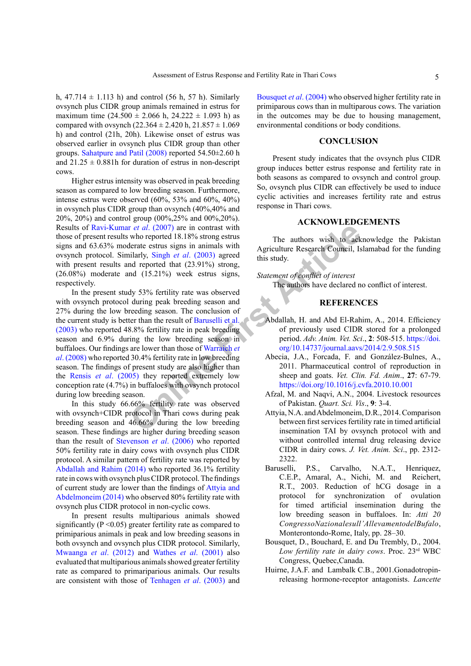h,  $47.714 \pm 1.113$  h) and control (56 h, 57 h). Similarly ovsynch plus CIDR group animals remained in estrus for maximum time  $(24.500 \pm 2.066 \text{ h}, 24.222 \pm 1.093 \text{ h})$  as compared with ovsynch  $(22.364 \pm 2.420 \text{ h}, 21.857 \pm 1.069 \text{ h})$ h) and control (21h, 20h). Likewise onset of estrus was observed earlier in ovsynch plus CIDR group than other groups. [Sahatpure and Patil \(2008\)](#page-5-14) reported 54.50±2.60 h and  $21.25 \pm 0.881$  h for duration of estrus in non-descript cows.

Higher estrus intensity was observed in peak breeding season as compared to low breeding season. Furthermore, intense estrus were observed (60%, 53% and 60%, 40%) in ovsynch plus CIDR group than ovsynch (40%,40% and 20%, 20%) and control group (00%,25% and 00%,20%). Results of Ravi-Kumar *et al*. (2007) are in contrast with those of present results who reported 18.18% strong estrus signs and 63.63% moderate estrus signs in animals with ovsynch protocol. Similarly, Singh *et al*. (2003) agreed with present results and reported that  $(23.91\%)$  strong, (26.08%) moderate and (15.21%) week estrus signs, respectively.

**Exampl[e](#page-5-7) 12** and (2007) are in contrast with<br>
the steate estuare actuals with the steate actuals with the steadent actuals with distant and the steadent point and the steadent and the steadent of the steadent of the steade In the present study 53% fertility rate was observed with ovsynch protocol during peak breeding season and 27% during the low breeding season. The conclusion of the current study is better than the result of Baruselli et al. [\(2003\)](#page-4-4) who reported 48.8% fertility rate in peak breeding season and 6.9% during the low breeding season in buffaloes. Our findings are lower than those of Warraich *et al*[. \(2008\)](#page-5-7) who reported 30.4% fertility rate in low breeding season. The findings of present study are also higher than the Rensis *et al*[. \(2005\)](#page-5-16) they reported extremely low conception rate (4.7%) in buffaloes with ovsynch protocol during low breeding season.

In this study 66.66% fertility rate was observed with ovsynch+CIDR protocol in Thari cows during peak breeding season and 46.66% during the low breeding season. These findings are higher during breeding season than the result of [Stevenson](#page-5-17) *et al*. (2006) who reported 50% fertility rate in dairy cows with ovsynch plus CIDR protocol. A similar pattern of fertility rate was reported by [Abdallah and Rahim \(2014\)](#page-4-5) who reported 36.1% fertility rate in cows with ovsynch plus CIDR protocol. The findings of current study are lower than the findings of [Attyia and](#page-4-1) [Abdelmoneim \(2014\)](#page-4-1) who observed 80% fertility rate with ovsynch plus CIDR protocol in non-cyclic cows.

In present results multiparious animals showed significantly ( $P \le 0.05$ ) greater fertility rate as compared to primiparious animals in peak and low breeding seasons in both ovsynch and ovsynch plus CIDR protocol. Similarly, [Mwaanga](#page-5-18) *et al*. (2012) and Wathes *et al*[. \(2001\)](#page-5-12) also evaluated that multiparious animals showed greater fertility rate as compared to primariparious animals. Our results are consistent with those of [Tenhagen](#page-5-19) *et al*. (2003) and

[Bousquet](#page-4-3) *et al*. (2004) who observed higher fertility rate in primiparous cows than in multiparous cows. The variation in the outcomes may be due to housing management, environmental conditions or body conditions.

## **CONCLUSION**

Present study indicates that the ovsynch plus CIDR group induces better estrus response and fertility rate in both seasons as compared to ovsynch and control group. So, ovsynch plus CIDR can effectively be used to induce cyclic activities and increases fertility rate and estrus response in Thari cows.

# **ACKNOWLEDGEMENTS**

The authors wish to acknowledge the Pakistan Agriculture Research Council, Islamabad for the funding this study.

## *Statement of conflict of interest*

The authors have declared no conflict of interest.

# **REFERENCES**

- <span id="page-4-5"></span>Abdallah, H. and Abd El-Rahim, A., 2014. Efficiency of previously used CIDR stored for a prolonged period. *Adv. Anim. Vet. Sci*., **2**: 508-515. [https://doi.](https://doi.org/10.14737/journal.aavs/2014/2.9.508.515) [org/10.14737/journal.aavs/2014/2.9.508.515](https://doi.org/10.14737/journal.aavs/2014/2.9.508.515)
- Abecia, J.A., Forcada, F. and González-Bulnes, A., 2011. Pharmaceutical control of reproduction in sheep and goats. *Vet. Clin. Fd. Anim*., **27**: 67-79. <https://doi.org/10.1016/j.cvfa.2010.10.001>
- <span id="page-4-0"></span>Afzal, M. and Naqvi, A.N., 2004. Livestock resources of Pakistan. *Quart. Sci. Vis*., **9**: 3-4.
- <span id="page-4-1"></span>Attyia, N.A. and Abdelmoneim, D.R., 2014. Comparison between first services fertility rate in timed artificial insemination TAI by ovsynch protocol with and without controlled internal drug releasing device CIDR in dairy cows. *J. Vet. Anim. Sci*., pp. 2312- 2322.
- <span id="page-4-4"></span>Baruselli, P.S., Carvalho, N.A.T., Henriquez, C.E.P., Amaral, A., Nichi, M. and Reichert, R.T., 2003. Reduction of hCG dosage in a protocol for synchronization of ovulation for timed artificial insemination during the low breeding season in buffaloes. In: *Atti 20 CongressoNazionalesull'AllevamentodelBufalo*, Monterontondo-Rome, Italy, pp. 28–30.
- <span id="page-4-3"></span>Bousquet, D., Bouchard, E. and Du Trembly, D., 2004. *Low fertility rate in dairy cows*. Proc. 23rd WBC Congress, Quebec,Canada.
- <span id="page-4-2"></span>Huirne, J.A.F. and Lambalk C.B., 2001.Gonadotropinreleasing hormone-receptor antagonists. *Lancette*